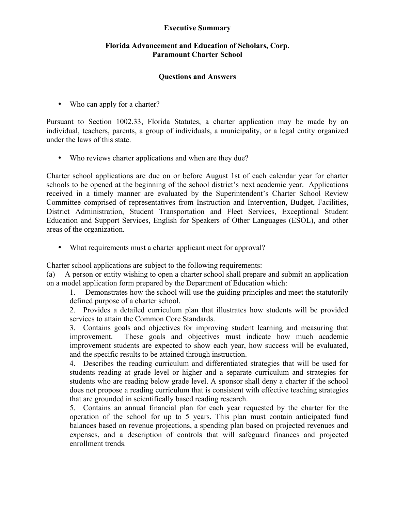## **Executive Summary**

## **Florida Advancement and Education of Scholars, Corp. Paramount Charter School**

## **Questions and Answers**

• Who can apply for a charter?

Pursuant to Section 1002.33, Florida Statutes, a charter application may be made by an individual, teachers, parents, a group of individuals, a municipality, or a legal entity organized under the laws of this state.

• Who reviews charter applications and when are they due?

Charter school applications are due on or before August 1st of each calendar year for charter schools to be opened at the beginning of the school district's next academic year. Applications received in a timely manner are evaluated by the Superintendent's Charter School Review Committee comprised of representatives from Instruction and Intervention, Budget, Facilities, District Administration, Student Transportation and Fleet Services, Exceptional Student Education and Support Services, English for Speakers of Other Languages (ESOL), and other areas of the organization.

• What requirements must a charter applicant meet for approval?

Charter school applications are subject to the following requirements:

(a) A person or entity wishing to open a charter school shall prepare and submit an application on a model application form prepared by the Department of Education which:

1. Demonstrates how the school will use the guiding principles and meet the statutorily defined purpose of a charter school.

2. Provides a detailed curriculum plan that illustrates how students will be provided services to attain the Common Core Standards.

3. Contains goals and objectives for improving student learning and measuring that improvement. These goals and objectives must indicate how much academic improvement students are expected to show each year, how success will be evaluated, and the specific results to be attained through instruction.

4. Describes the reading curriculum and differentiated strategies that will be used for students reading at grade level or higher and a separate curriculum and strategies for students who are reading below grade level. A sponsor shall deny a charter if the school does not propose a reading curriculum that is consistent with effective teaching strategies that are grounded in scientifically based reading research.

5. Contains an annual financial plan for each year requested by the charter for the operation of the school for up to 5 years. This plan must contain anticipated fund balances based on revenue projections, a spending plan based on projected revenues and expenses, and a description of controls that will safeguard finances and projected enrollment trends.